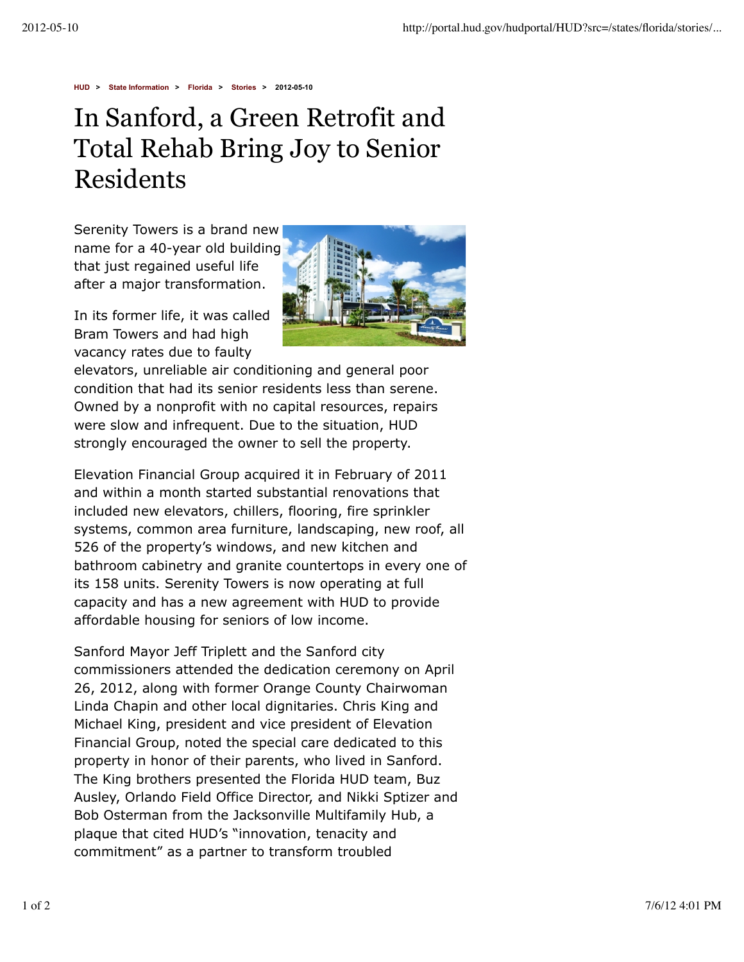**HUD > State Information > Florida > Stories > 2012-05-10**

## In Sanford, a Green Retrofit and Total Rehab Bring Joy to Senior Residents

Serenity Towers is a brand new name for a 40-year old building that just regained useful life after a major transformation.

In its former life, it was called Bram Towers and had high vacancy rates due to faulty



elevators, unreliable air conditioning and general poor condition that had its senior residents less than serene. Owned by a nonprofit with no capital resources, repairs were slow and infrequent. Due to the situation, HUD strongly encouraged the owner to sell the property.

Elevation Financial Group acquired it in February of 2011 and within a month started substantial renovations that included new elevators, chillers, flooring, fire sprinkler systems, common area furniture, landscaping, new roof, all 526 of the property's windows, and new kitchen and bathroom cabinetry and granite countertops in every one of its 158 units. Serenity Towers is now operating at full capacity and has a new agreement with HUD to provide affordable housing for seniors of low income.

Sanford Mayor Jeff Triplett and the Sanford city commissioners attended the dedication ceremony on April 26, 2012, along with former Orange County Chairwoman Linda Chapin and other local dignitaries. Chris King and Michael King, president and vice president of Elevation Financial Group, noted the special care dedicated to this property in honor of their parents, who lived in Sanford. The King brothers presented the Florida HUD team, Buz Ausley, Orlando Field Office Director, and Nikki Sptizer and Bob Osterman from the Jacksonville Multifamily Hub, a plaque that cited HUD's "innovation, tenacity and commitment" as a partner to transform troubled